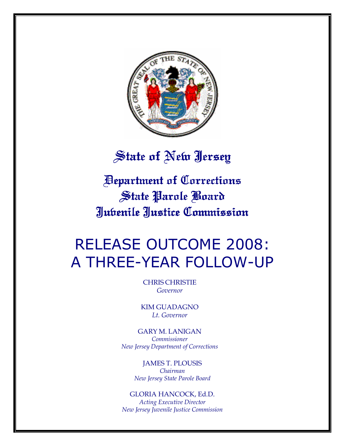

# State of New Jersey

Department of Corrections Department Corrections State Parole Board Juvenile Justice Commission Justice Commission

# RELEASE OUTCOME 2008: A THREE-YEAR FOLLOW-UP

CHRIS CHRISTIE Governor

KIM GUADAGNO Lt. Governor

GARY M. LANIGAN Commissioner New Jersey Department of Corrections

> JAMES T. PLOUSIS Chairman New Jersey State Parole Board

GLORIA HANCOCK, Ed.D. Acting Executive Director New Jersey Juvenile Justice Commission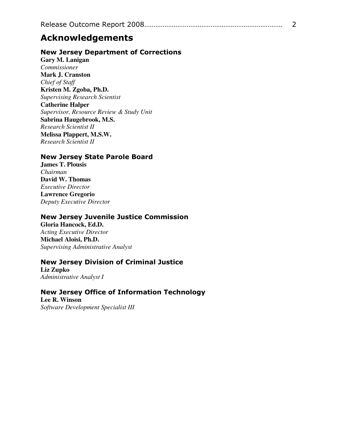# Acknowledgements

### New Jersey Department of Corrections

**Gary M. Lanigan**  *Commissioner*  **Mark J. Cranston**  *Chief of Staff*  **Kristen M. Zgoba, Ph.D.**  *Supervising Research Scientist*  **Catherine Halper**  *Supervisor, Resource Review & Study Unit* **Sabrina Haugebrook, M.S.**  *Research Scientist II*  **Melissa Plappert, M.S.W.**  *Research Scientist II* 

#### New Jersey State Parole Board

**James T. Plousis**  *Chairman*  **David W. Thomas**  *Executive Director*  **Lawrence Gregorio**  *Deputy Executive Director* 

#### New Jersey Juvenile Justice Commission

**Gloria Hancock, Ed.D.**  *Acting Executive Director* **Michael Aloisi, Ph.D.**  *Supervising Administrative Analyst* 

#### New Jersey Division of Criminal Justice

**Liz Zupko**  *Administrative Analyst I* 

New Jersey Office of Information Technology **Lee R. Winson**  *Software Development Specialist III*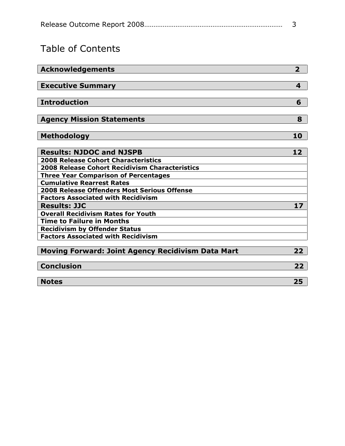# Table of Contents

| <b>Executive Summary</b><br>4<br><b>Introduction</b><br>6<br><b>Agency Mission Statements</b><br>8<br><b>Methodology</b><br>10<br><b>Results: NJDOC and NJSPB</b><br>12<br><b>2008 Release Cohort Characteristics</b><br><b>2008 Release Cohort Recidivism Characteristics</b><br><b>Three Year Comparison of Percentages</b><br><b>Cumulative Rearrest Rates</b><br>2008 Release Offenders Most Serious Offense<br><b>Factors Associated with Recidivism</b> |
|---------------------------------------------------------------------------------------------------------------------------------------------------------------------------------------------------------------------------------------------------------------------------------------------------------------------------------------------------------------------------------------------------------------------------------------------------------------|
|                                                                                                                                                                                                                                                                                                                                                                                                                                                               |
|                                                                                                                                                                                                                                                                                                                                                                                                                                                               |
|                                                                                                                                                                                                                                                                                                                                                                                                                                                               |
|                                                                                                                                                                                                                                                                                                                                                                                                                                                               |
|                                                                                                                                                                                                                                                                                                                                                                                                                                                               |
|                                                                                                                                                                                                                                                                                                                                                                                                                                                               |
|                                                                                                                                                                                                                                                                                                                                                                                                                                                               |
|                                                                                                                                                                                                                                                                                                                                                                                                                                                               |
|                                                                                                                                                                                                                                                                                                                                                                                                                                                               |
|                                                                                                                                                                                                                                                                                                                                                                                                                                                               |
|                                                                                                                                                                                                                                                                                                                                                                                                                                                               |
|                                                                                                                                                                                                                                                                                                                                                                                                                                                               |
|                                                                                                                                                                                                                                                                                                                                                                                                                                                               |
|                                                                                                                                                                                                                                                                                                                                                                                                                                                               |
|                                                                                                                                                                                                                                                                                                                                                                                                                                                               |
| <b>Results: JJC</b><br>17                                                                                                                                                                                                                                                                                                                                                                                                                                     |
| <b>Overall Recidivism Rates for Youth</b>                                                                                                                                                                                                                                                                                                                                                                                                                     |
| <b>Time to Failure in Months</b>                                                                                                                                                                                                                                                                                                                                                                                                                              |
| <b>Recidivism by Offender Status</b>                                                                                                                                                                                                                                                                                                                                                                                                                          |
| <b>Factors Associated with Recidivism</b>                                                                                                                                                                                                                                                                                                                                                                                                                     |
| <b>Moving Forward: Joint Agency Recidivism Data Mart</b><br>22                                                                                                                                                                                                                                                                                                                                                                                                |
| <b>Conclusion</b><br>22                                                                                                                                                                                                                                                                                                                                                                                                                                       |
| <b>Notes</b><br>25                                                                                                                                                                                                                                                                                                                                                                                                                                            |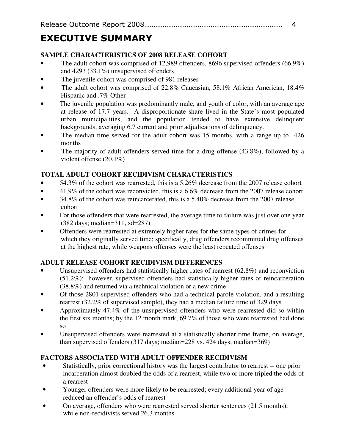# EXECUTIVE SUMMARY

## **SAMPLE CHARACTERISTICS OF 2008 RELEASE COHORT**

- The adult cohort was comprised of 12,989 offenders, 8696 supervised offenders (66.9%) and 4293 (33.1%) unsupervised offenders
- The juvenile cohort was comprised of 981 releases
- The adult cohort was comprised of 22.8% Caucasian, 58.1% African American, 18.4% Hispanic and .7% Other
- The juvenile population was predominantly male, and youth of color, with an average age at release of 17.7 years. A disproportionate share lived in the State's most populated urban municipalities, and the population tended to have extensive delinquent backgrounds, averaging 6.7 current and prior adjudications of delinquency.
- The median time served for the adult cohort was 15 months, with a range up to 426 months
- The majority of adult offenders served time for a drug offense (43.8%), followed by a violent offense (20.1%)

# **TOTAL ADULT COHORT RECIDIVISM CHARACTERISTICS**

- 54.3% of the cohort was rearrested, this is a 5.26% decrease from the 2007 release cohort
- 41.9% of the cohort was reconvicted, this is a 6.6% decrease from the 2007 release cohort
- 34.8% of the cohort was reincarcerated, this is a 5.40% decrease from the 2007 release cohort
- For those offenders that were rearrested, the average time to failure was just over one year (382 days; median=311, sd=287)
- Offenders were rearrested at extremely higher rates for the same types of crimes for which they originally served time; specifically, drug offenders recommitted drug offenses at the highest rate, while weapons offenses were the least repeated offenses

# **ADULT RELEASE COHORT RECIDIVISM DIFFERENCES**

- Unsupervised offenders had statistically higher rates of rearrest (62.8%) and reconviction (51.2%); however, supervised offenders had statistically higher rates of reincarceration (38.8%) and returned via a technical violation or a new crime
- Of those 2801 supervised offenders who had a technical parole violation, and a resulting rearrest (32.2% of supervised sample), they had a median failure time of 329 days
- Approximately 47.4% of the unsupervised offenders who were rearrested did so within the first six months; by the 12 month mark, 69.7% of those who were rearrested had done so
- Unsupervised offenders were rearrested at a statistically shorter time frame, on average, than supervised offenders (317 days; median=228 vs. 424 days; median=369)

# **FACTORS ASSOCIATED WITH ADULT OFFENDER RECIDIVISM**

- Statistically, prior correctional history was the largest contributor to rearrest -- one prior incarceration almost doubled the odds of a rearrest, while two or more tripled the odds of a rearrest
- Younger offenders were more likely to be rearrested; every additional year of age reduced an offender's odds of rearrest
- On average, offenders who were rearrested served shorter sentences (21.5 months), while non-recidivists served 26.3 months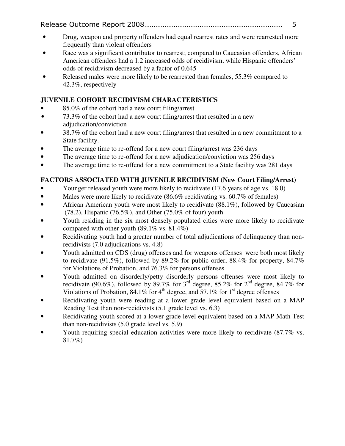- Drug, weapon and property offenders had equal rearrest rates and were rearrested more frequently than violent offenders
- Race was a significant contributor to rearrest; compared to Caucasian offenders, African American offenders had a 1.2 increased odds of recidivism, while Hispanic offenders' odds of recidivism decreased by a factor of 0.645
- Released males were more likely to be rearrested than females, 55.3% compared to 42.3%, respectively

## **JUVENILE COHORT RECIDIVISM CHARACTERISTICS**

- 85.0% of the cohort had a new court filing/arrest
- 73.3% of the cohort had a new court filing/arrest that resulted in a new adjudication/conviction
- 38.7% of the cohort had a new court filing/arrest that resulted in a new commitment to a State facility.
- The average time to re-offend for a new court filing/arrest was 236 days
- The average time to re-offend for a new adjudication/conviction was 256 days
- The average time to re-offend for a new commitment to a State facility was 281 days

## **FACTORS ASSOCIATED WITH JUVENILE RECIDIVISM (New Court Filing/Arrest)**

- Younger released youth were more likely to recidivate (17.6 years of age vs. 18.0)
- Males were more likely to recidivate (86.6% recidivating vs. 60.7% of females)
- African American youth were most likely to recidivate (88.1%), followed by Caucasian (78.2), Hispanic (76.5%), and Other (75.0% of four) youth
- Youth residing in the six most densely populated cities were more likely to recidivate compared with other youth  $(89.1\% \text{ vs. } 81.4\%)$
- Recidivating youth had a greater number of total adjudications of delinquency than nonrecidivists (7.0 adjudications vs. 4.8)
- Youth admitted on CDS (drug) offenses and for weapons offenses were both most likely to recidivate (91.5%), followed by 89.2% for public order, 88.4% for property, 84.7% for Violations of Probation, and 76.3% for persons offenses
- Youth admitted on disorderly/petty disorderly persons offenses were most likely to recidivate (90.6%), followed by 89.7% for  $3^{rd}$  degree, 85.2% for  $2^{nd}$  degree, 84.7% for Violations of Probation,  $84.1\%$  for  $4^{\text{th}}$  degree, and  $57.1\%$  for  $1^{\text{st}}$  degree offenses
- Recidivating youth were reading at a lower grade level equivalent based on a MAP Reading Test than non-recidivists (5.1 grade level vs. 6.3)
- Recidivating youth scored at a lower grade level equivalent based on a MAP Math Test than non-recidivists (5.0 grade level vs. 5.9)
- Youth requiring special education activities were more likely to recidivate (87.7% vs. 81.7%)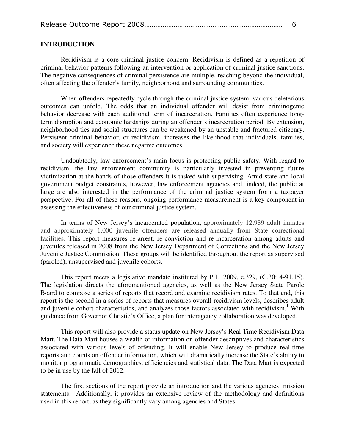|--|--|

#### **INTRODUCTION**

Recidivism is a core criminal justice concern. Recidivism is defined as a repetition of criminal behavior patterns following an intervention or application of criminal justice sanctions. The negative consequences of criminal persistence are multiple, reaching beyond the individual, often affecting the offender's family, neighborhood and surrounding communities.

When offenders repeatedly cycle through the criminal justice system, various deleterious outcomes can unfold. The odds that an individual offender will desist from criminogenic behavior decrease with each additional term of incarceration. Families often experience longterm disruption and economic hardships during an offender's incarceration period. By extension, neighborhood ties and social structures can be weakened by an unstable and fractured citizenry. Persistent criminal behavior, or recidivism, increases the likelihood that individuals, families, and society will experience these negative outcomes.

Undoubtedly, law enforcement's main focus is protecting public safety. With regard to recidivism, the law enforcement community is particularly invested in preventing future victimization at the hands of those offenders it is tasked with supervising. Amid state and local government budget constraints, however, law enforcement agencies and, indeed, the public at large are also interested in the performance of the criminal justice system from a taxpayer perspective. For all of these reasons, ongoing performance measurement is a key component in assessing the effectiveness of our criminal justice system.

In terms of New Jersey's incarcerated population, approximately 12,989 adult inmates and approximately 1,000 juvenile offenders are released annually from State correctional facilities. This report measures re-arrest, re-conviction and re-incarceration among adults and juveniles released in 2008 from the New Jersey Department of Corrections and the New Jersey Juvenile Justice Commission. These groups will be identified throughout the report as supervised (paroled), unsupervised and juvenile cohorts.

This report meets a legislative mandate instituted by P.L. 2009, c.329, (C.30: 4-91.15). The legislation directs the aforementioned agencies, as well as the New Jersey State Parole Board to compose a series of reports that record and examine recidivism rates. To that end, this report is the second in a series of reports that measures overall recidivism levels, describes adult and juvenile cohort characteristics, and analyzes those factors associated with recidivism.<sup>1</sup> With guidance from Governor Christie's Office, a plan for interagency collaboration was developed.

This report will also provide a status update on New Jersey's Real Time Recidivism Data Mart. The Data Mart houses a wealth of information on offender descriptives and characteristics associated with various levels of offending. It will enable New Jersey to produce real-time reports and counts on offender information, which will dramatically increase the State's ability to monitor programmatic demographics, efficiencies and statistical data. The Data Mart is expected to be in use by the fall of 2012.

The first sections of the report provide an introduction and the various agencies' mission statements. Additionally, it provides an extensive review of the methodology and definitions used in this report, as they significantly vary among agencies and States.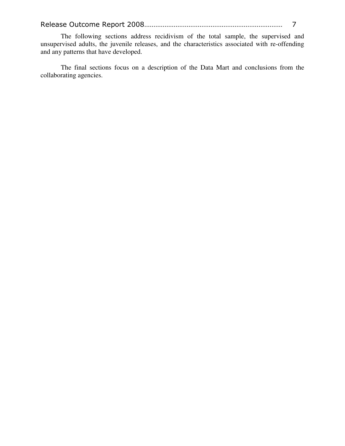The following sections address recidivism of the total sample, the supervised and unsupervised adults, the juvenile releases, and the characteristics associated with re-offending and any patterns that have developed.

The final sections focus on a description of the Data Mart and conclusions from the collaborating agencies.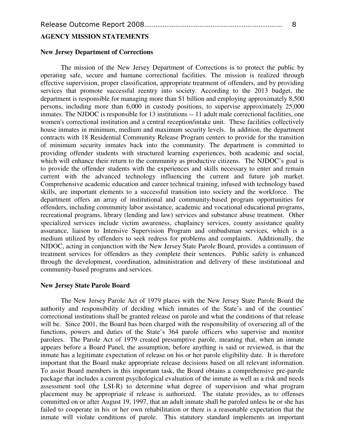#### **AGENCY MISSION STATEMENTS**

#### **New Jersey Department of Corrections**

The mission of the New Jersey Department of Corrections is to protect the public by operating safe, secure and humane correctional facilities. The mission is realized through effective supervision, proper classification, appropriate treatment of offenders, and by providing services that promote successful reentry into society. According to the 2013 budget, the department is responsible for managing more than \$1 billion and employing approximately 8,500 persons, including more than 6,000 in custody positions, to supervise approximately 25,000 inmates. The NJDOC is responsible for 13 institutions -- 11 adult male correctional facilities, one women's correctional institution and a central reception/intake unit. These facilities collectively house inmates in minimum, medium and maximum security levels. In addition, the department contracts with 18 Residential Community Release Program centers to provide for the transition of minimum security inmates back into the community. The department is committed to providing offender students with structured learning experiences, both academic and social, which will enhance their return to the community as productive citizens. The NJDOC's goal is to provide the offender students with the experiences and skills necessary to enter and remain current with the advanced technology influencing the current and future job market. Comprehensive academic education and career technical training, infused with technology based skills, are important elements to a successful transition into society and the workforce. The department offers an array of institutional and community-based program opportunities for offenders, including community labor assistance, academic and vocational educational programs, recreational programs, library (lending and law) services and substance abuse treatment. Other specialized services include victim awareness, chaplaincy services, county assistance quality assurance, liaison to Intensive Supervision Program and ombudsman services, which is a medium utilized by offenders to seek redress for problems and complaints. Additionally, the NJDOC, acting in conjunction with the New Jersey State Parole Board, provides a continuum of treatment services for offenders as they complete their sentences. Public safety is enhanced through the development, coordination, administration and delivery of these institutional and community-based programs and services.

#### **New Jersey State Parole Board**

The New Jersey Parole Act of 1979 places with the New Jersey State Parole Board the authority and responsibility of deciding which inmates of the State's and of the counties' correctional institutions shall be granted release on parole and what the conditions of that release will be. Since 2001, the Board has been charged with the responsibility of overseeing all of the functions, powers and duties of the State's 364 parole officers who supervise and monitor parolees. The Parole Act of 1979 created presumptive parole, meaning that, when an inmate appears before a Board Panel, the assumption, before anything is said or reviewed, is that the inmate has a legitimate expectation of release on his or her parole eligibility date. It is therefore important that the Board make appropriate release decisions based on all relevant information. To assist Board members in this important task, the Board obtains a comprehensive pre-parole package that includes a current psychological evaluation of the inmate as well as a risk and needs assessment tool (the LSI-R) to determine what degree of supervision and what program placement may be appropriate if release is authorized. The statute provides, as to offenses committed on or after August 19, 1997, that an adult inmate shall be paroled unless he or she has failed to cooperate in his or her own rehabilitation or there is a reasonable expectation that the inmate will violate conditions of parole. This statutory standard implements an important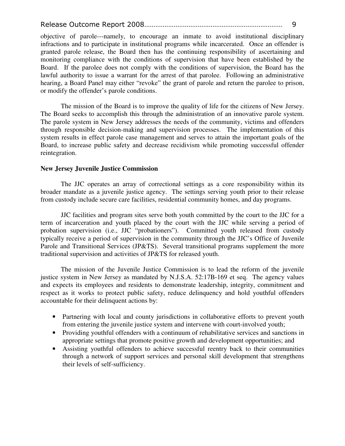objective of parole---namely, to encourage an inmate to avoid institutional disciplinary infractions and to participate in institutional programs while incarcerated. Once an offender is granted parole release, the Board then has the continuing responsibility of ascertaining and monitoring compliance with the conditions of supervision that have been established by the Board. If the parolee does not comply with the conditions of supervision, the Board has the lawful authority to issue a warrant for the arrest of that parolee. Following an administrative hearing, a Board Panel may either "revoke" the grant of parole and return the parolee to prison, or modify the offender's parole conditions.

The mission of the Board is to improve the quality of life for the citizens of New Jersey. The Board seeks to accomplish this through the administration of an innovative parole system. The parole system in New Jersey addresses the needs of the community, victims and offenders through responsible decision-making and supervision processes. The implementation of this system results in effect parole case management and serves to attain the important goals of the Board, to increase public safety and decrease recidivism while promoting successful offender reintegration.

#### **New Jersey Juvenile Justice Commission**

The JJC operates an array of correctional settings as a core responsibility within its broader mandate as a juvenile justice agency. The settings serving youth prior to their release from custody include secure care facilities, residential community homes, and day programs.

 JJC facilities and program sites serve both youth committed by the court to the JJC for a term of incarceration and youth placed by the court with the JJC while serving a period of probation supervision (i.e., JJC "probationers"). Committed youth released from custody typically receive a period of supervision in the community through the JJC's Office of Juvenile Parole and Transitional Services (JP&TS). Several transitional programs supplement the more traditional supervision and activities of JP&TS for released youth.

The mission of the Juvenile Justice Commission is to lead the reform of the juvenile justice system in New Jersey as mandated by N.J.S.A. 52:17B-169 et seq. The agency values and expects its employees and residents to demonstrate leadership, integrity, commitment and respect as it works to protect public safety, reduce delinquency and hold youthful offenders accountable for their delinquent actions by:

- Partnering with local and county jurisdictions in collaborative efforts to prevent youth from entering the juvenile justice system and intervene with court-involved youth;
- Providing youthful offenders with a continuum of rehabilitative services and sanctions in appropriate settings that promote positive growth and development opportunities; and
- Assisting youthful offenders to achieve successful reentry back to their communities through a network of support services and personal skill development that strengthens their levels of self-sufficiency.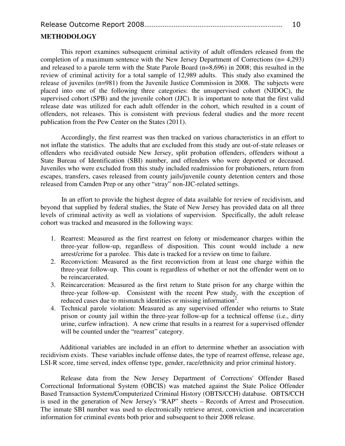|--|--|

#### **METHODOLOGY**

This report examines subsequent criminal activity of adult offenders released from the completion of a maximum sentence with the New Jersey Department of Corrections (n= 4,293) and released to a parole term with the State Parole Board (n=8,696) in 2008; this resulted in the review of criminal activity for a total sample of 12,989 adults. This study also examined the release of juveniles (n=981) from the Juvenile Justice Commission in 2008. The subjects were placed into one of the following three categories: the unsupervised cohort (NJDOC), the supervised cohort (SPB) and the juvenile cohort (JJC). It is important to note that the first valid release date was utilized for each adult offender in the cohort, which resulted in a count of offenders, not releases. This is consistent with previous federal studies and the more recent publication from the Pew Center on the States (2011).

Accordingly, the first rearrest was then tracked on various characteristics in an effort to not inflate the statistics. The adults that are excluded from this study are out-of-state releases or offenders who recidivated outside New Jersey, split probation offenders, offenders without a State Bureau of Identification (SBI) number, and offenders who were deported or deceased. Juveniles who were excluded from this study included readmission for probationers, return from escapes, transfers, cases released from county jails/juvenile county detention centers and those released from Camden Prep or any other "stray" non-JJC-related settings.

In an effort to provide the highest degree of data available for review of recidivism, and beyond that supplied by federal studies, the State of New Jersey has provided data on all three levels of criminal activity as well as violations of supervision. Specifically, the adult release cohort was tracked and measured in the following ways:

- 1. Rearrest: Measured as the first rearrest on felony or misdemeanor charges within the three-year follow-up, regardless of disposition. This count would include a new arrest/crime for a parolee. This date is tracked for a review on time to failure.
- 2. Reconviction: Measured as the first reconviction from at least one charge within the three-year follow-up. This count is regardless of whether or not the offender went on to be reincarcerated.
- 3. Reincarceration: Measured as the first return to State prison for any charge within the three-year follow-up. Consistent with the recent Pew study, with the exception of reduced cases due to mismatch identities or missing information<sup>2</sup>.
- 4. Technical parole violation: Measured as any supervised offender who returns to State prison or county jail within the three-year follow-up for a technical offense (i.e., dirty urine, curfew infraction). A new crime that results in a rearrest for a supervised offender will be counted under the "rearrest" category.

Additional variables are included in an effort to determine whether an association with recidivism exists. These variables include offense dates, the type of rearrest offense, release age, LSI-R score, time served, index offense type, gender, race/ethnicity and prior criminal history.

Release data from the New Jersey Department of Corrections' Offender Based Correctional Informational System (OBCIS) was matched against the State Police Offender Based Transaction System/Computerized Criminal History (OBTS/CCH) database. OBTS/CCH is used in the generation of New Jersey's "RAP" sheets – Records of Arrest and Prosecution. The inmate SBI number was used to electronically retrieve arrest, conviction and incarceration information for criminal events both prior and subsequent to their 2008 release.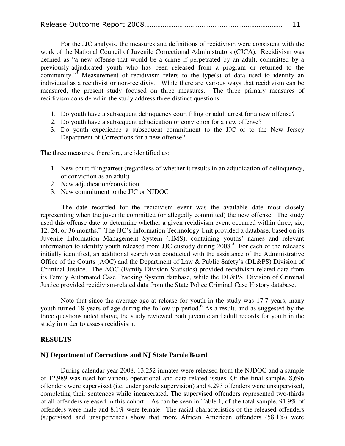|--|--|

For the JJC analysis, the measures and definitions of recidivism were consistent with the work of the National Council of Juvenile Correctional Administrators (CJCA). Recidivism was defined as "a new offense that would be a crime if perpetrated by an adult, committed by a previously-adjudicated youth who has been released from a program or returned to the community."<sup>3</sup> Measurement of recidivism refers to the type(s) of data used to identify an individual as a recidivist or non-recidivist. While there are various ways that recidivism can be measured, the present study focused on three measures. The three primary measures of recidivism considered in the study address three distinct questions.

- 1. Do youth have a subsequent delinquency court filing or adult arrest for a new offense?
- 2. Do youth have a subsequent adjudication or conviction for a new offense?
- 3. Do youth experience a subsequent commitment to the JJC or to the New Jersey Department of Corrections for a new offense?

The three measures, therefore, are identified as:

- 1. New court filing/arrest (regardless of whether it results in an adjudication of delinquency, or conviction as an adult)
- 2. New adjudication/conviction
- 3. New commitment to the JJC or NJDOC

The date recorded for the recidivism event was the available date most closely representing when the juvenile committed (or allegedly committed) the new offense. The study used this offense date to determine whether a given recidivism event occurred within three, six, 12, 24, or 36 months.<sup>4</sup> The JJC's Information Technology Unit provided a database, based on its Juvenile Information Management System (JIMS), containing youths' names and relevant information to identify youth released from JJC custody during 2008.<sup>5</sup> For each of the releases initially identified, an additional search was conducted with the assistance of the Administrative Office of the Courts (AOC) and the Department of Law & Public Safety's (DL&PS) Division of Criminal Justice. The AOC (Family Division Statistics) provided recidivism-related data from its Family Automated Case Tracking System database, while the DL&PS, Division of Criminal Justice provided recidivism-related data from the State Police Criminal Case History database.

Note that since the average age at release for youth in the study was 17.7 years, many youth turned 18 years of age during the follow-up period.<sup>6</sup> As a result, and as suggested by the three questions noted above, the study reviewed both juvenile and adult records for youth in the study in order to assess recidivism.

#### **RESULTS**

#### **NJ Department of Corrections and NJ State Parole Board**

During calendar year 2008, 13,252 inmates were released from the NJDOC and a sample of 12,989 was used for various operational and data related issues. Of the final sample, 8,696 offenders were supervised (i.e. under parole supervision) and 4,293 offenders were unsupervised, completing their sentences while incarcerated. The supervised offenders represented two-thirds of all offenders released in this cohort. As can be seen in Table 1, of the total sample, 91.9% of offenders were male and 8.1% were female. The racial characteristics of the released offenders (supervised and unsupervised) show that more African American offenders (58.1%) were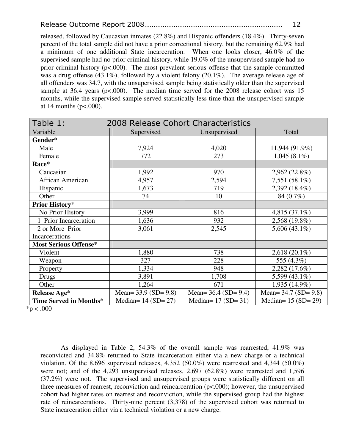released, followed by Caucasian inmates (22.8%) and Hispanic offenders (18.4%). Thirty-seven percent of the total sample did not have a prior correctional history, but the remaining 62.9% had a minimum of one additional State incarceration. When one looks closer, 46.0% of the supervised sample had no prior criminal history, while 19.0% of the unsupervised sample had no prior criminal history ( $p \le 0.000$ ). The most prevalent serious offense that the sample committed was a drug offense (43.1%), followed by a violent felony (20.1%). The average release age of all offenders was 34.7, with the unsupervised sample being statistically older than the supervised sample at 36.4 years (p<.000). The median time served for the 2008 release cohort was 15 months, while the supervised sample served statistically less time than the unsupervised sample at 14 months ( $p<.000$ ).

| Table 1:                     | 2008 Release Cohort Characteristics |                           |                           |
|------------------------------|-------------------------------------|---------------------------|---------------------------|
| Variable                     | Supervised                          | Unsupervised              | Total                     |
| Gender*                      |                                     |                           |                           |
| Male                         | 7,924                               | 4,020                     | 11,944 (91.9%)            |
| Female                       | 772                                 | 273                       | $1,045(8.1\%)$            |
| Race*                        |                                     |                           |                           |
| Caucasian                    | 1,992                               | 970                       | 2,962 (22.8%)             |
| African American             | 4,957                               | 2,594                     | 7,551 (58.1%)             |
| Hispanic                     | 1,673                               | 719                       | 2,392 (18.4%)             |
| Other                        | 74                                  | 10                        | 84 (0.7%)                 |
| <b>Prior History*</b>        |                                     |                           |                           |
| No Prior History             | 3,999                               | 816                       | 4,815 $(37.1\%)$          |
| 1 Prior Incarceration        | 1,636                               | 932                       | 2,568 (19.8%)             |
| 2 or More Prior              | 3,061                               | 2,545                     | 5,606 $(43.1\%)$          |
| Incarcerations               |                                     |                           |                           |
| <b>Most Serious Offense*</b> |                                     |                           |                           |
| Violent                      | 1,880                               | 738                       | $2,618(20.1\%)$           |
| Weapon                       | 327                                 | 228                       | 555 (4.3%)                |
| Property                     | 1,334                               | 948                       | 2,282 (17.6%)             |
| Drugs                        | 3,891                               | 1,708                     | 5,599 (43.1%)             |
| Other                        | 1,264                               | 671                       | 1,935 (14.9%)             |
| <b>Release Age*</b>          | Mean= $33.9$ (SD= $9.8$ )           | Mean= $36.4$ (SD= $9.4$ ) | Mean= $34.7$ (SD= $9.8$ ) |
| Time Served in Months*       | Median= $14 (SD = 27)$              | Median= $17 (SD = 31)$    | Median= $15 (SD = 29)$    |

 $*p < .000$ 

As displayed in Table 2, 54.3% of the overall sample was rearrested, 41.9% was reconvicted and 34.8% returned to State incarceration either via a new charge or a technical violation. Of the 8,696 supervised releases,  $4,352$  (50.0%) were rearrested and  $4,344$  (50.0%) were not; and of the 4,293 unsupervised releases, 2,697 (62.8%) were rearrested and 1,596 (37.2%) were not. The supervised and unsupervised groups were statistically different on all three measures of rearrest, reconviction and reincarceration (p<.000); however, the unsupervised cohort had higher rates on rearrest and reconviction, while the supervised group had the highest rate of reincarcerations. Thirty-nine percent (3,378) of the supervised cohort was returned to State incarceration either via a technical violation or a new charge.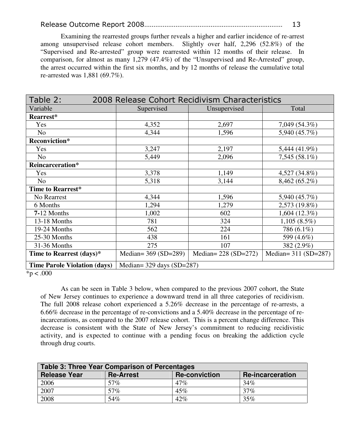Examining the rearrested groups further reveals a higher and earlier incidence of re-arrest among unsupervised release cohort members. Slightly over half, 2,296 (52.8%) of the "Supervised and Re-arrested" group were rearrested within 12 months of their release. In comparison, for almost as many 1,279 (47.4%) of the "Unsupervised and Re-Arrested" group, the arrest occurred within the first six months, and by 12 months of release the cumulative total re-arrested was 1,881 (69.7%).

| Table 2:                            | 2008 Release Cohort Recidivism Characteristics |                       |                       |
|-------------------------------------|------------------------------------------------|-----------------------|-----------------------|
| Variable                            | Supervised                                     | Unsupervised          | Total                 |
| Rearrest*                           |                                                |                       |                       |
| Yes                                 | 4,352                                          | 2,697                 | 7,049 (54.3%)         |
| N <sub>o</sub>                      | 4,344                                          | 1,596                 | 5,940 (45.7%)         |
| Reconviction*                       |                                                |                       |                       |
| Yes                                 | 3,247                                          | 2,197                 | 5,444 (41.9%)         |
| N <sub>o</sub>                      | 5,449                                          | 2,096                 | $7,545(58.1\%)$       |
| Reincarceration*                    |                                                |                       |                       |
| Yes                                 | 3,378                                          | 1,149                 | 4,527 (34.8%)         |
| N <sub>o</sub>                      | 5,318                                          | 3,144                 | 8,462 (65.2%)         |
| Time to Rearrest*                   |                                                |                       |                       |
| No Rearrest                         | 4,344                                          | 1,596                 | 5,940 (45.7%)         |
| 6 Months                            | 1,294                                          | 1,279                 | 2,573 (19.8%)         |
| 7-12 Months                         | 1,002                                          | 602                   | 1,604(12.3%)          |
| 13-18 Months                        | 781                                            | 324                   | $1,105(8.5\%)$        |
| 19-24 Months                        | 562                                            | 224                   | 786 (6.1%)            |
| 25-30 Months                        | 438                                            | 161                   | 599 (4.6%)            |
| 31-36 Months                        | 275                                            | 107                   | 382 (2.9%)            |
| Time to Rearrest (days)*            | Median= $369 (SD=289)$                         | Median= $228(SD=272)$ | Median= $311(SD=287)$ |
| <b>Time Parole Violation (days)</b> | Median= $329 \text{ days}$ (SD= $287$ )        |                       |                       |

 $*p < .000$ 

 As can be seen in Table 3 below, when compared to the previous 2007 cohort, the State of New Jersey continues to experience a downward trend in all three categories of recidivism. The full 2008 release cohort experienced a 5.26% decrease in the percentage of re-arrests, a 6.66% decrease in the percentage of re-convictions and a 5.40% decrease in the percentage of reincarcerations, as compared to the 2007 release cohort. This is a percent change difference. This decrease is consistent with the State of New Jersey's commitment to reducing recidivistic activity, and is expected to continue with a pending focus on breaking the addiction cycle through drug courts.

| <b>Table 3: Three Year Comparison of Percentages</b> |                  |                      |                         |
|------------------------------------------------------|------------------|----------------------|-------------------------|
| <b>Release Year</b>                                  | <b>Re-Arrest</b> | <b>Re-conviction</b> | <b>Re-incarceration</b> |
| 2006                                                 | 57%              | 47%                  | 34%                     |
| 2007                                                 | 57%              | 45%                  | 37%                     |
| 2008                                                 | 54%              | $42\%$               | $35\%$                  |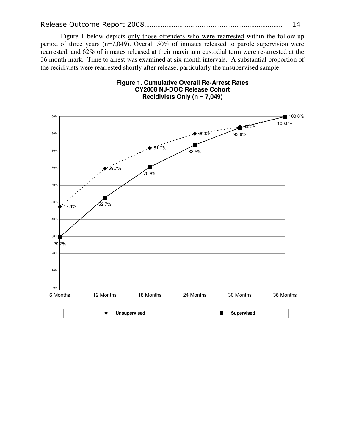Figure 1 below depicts only those offenders who were rearrested within the follow-up period of three years (n=7,049). Overall 50% of inmates released to parole supervision were rearrested, and 62% of inmates released at their maximum custodial term were re-arrested at the 36 month mark. Time to arrest was examined at six month intervals. A substantial proportion of the recidivists were rearrested shortly after release, particularly the unsupervised sample.



#### **Figure 1. Cumulative Overall Re-Arrest Rates CY2008 NJ-DOC Release Cohort Recidivists Only (n = 7,049)**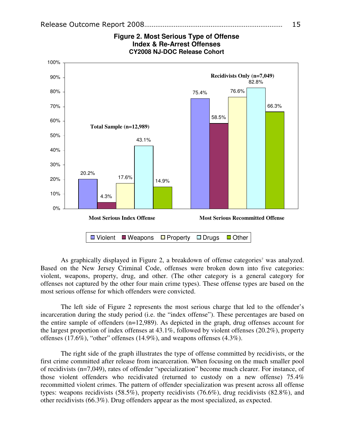

**Figure 2. Most Serious Type of Offense Index & Re-Arrest Offenses CY2008 NJ-DOC Release Cohort** 

As graphically displayed in Figure 2, a breakdown of offense categories<sup>7</sup> was analyzed. Based on the New Jersey Criminal Code, offenses were broken down into five categories: violent, weapons, property, drug, and other. (The other category is a general category for offenses not captured by the other four main crime types). These offense types are based on the most serious offense for which offenders were convicted.

The left side of Figure 2 represents the most serious charge that led to the offender's incarceration during the study period (i.e. the "index offense"). These percentages are based on the entire sample of offenders (n=12,989). As depicted in the graph, drug offenses account for the largest proportion of index offenses at 43.1%, followed by violent offenses (20.2%), property offenses (17.6%), "other" offenses (14.9%), and weapons offenses (4.3%).

The right side of the graph illustrates the type of offense committed by recidivists, or the first crime committed after release from incarceration. When focusing on the much smaller pool of recidivists (n=7,049), rates of offender "specialization" become much clearer. For instance, of those violent offenders who recidivated (returned to custody on a new offense) 75.4% recommitted violent crimes. The pattern of offender specialization was present across all offense types: weapons recidivists (58.5%), property recidivists (76.6%), drug recidivists (82.8%), and other recidivists (66.3%). Drug offenders appear as the most specialized, as expected.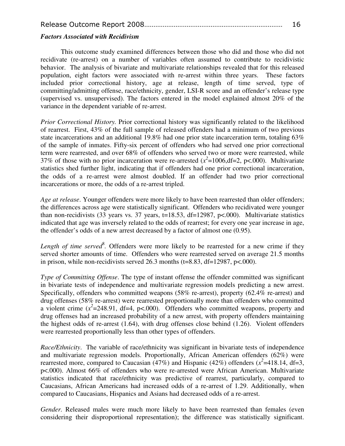|--|--|

#### *Factors Associated with Recidivism*

This outcome study examined differences between those who did and those who did not recidivate (re-arrest) on a number of variables often assumed to contribute to recidivistic behavior. The analysis of bivariate and multivariate relationships revealed that for this released population, eight factors were associated with re-arrest within three years. These factors included prior correctional history, age at release, length of time served, type of committing/admitting offense, race/ethnicity, gender, LSI-R score and an offender's release type (supervised vs. unsupervised). The factors entered in the model explained almost 20% of the variance in the dependent variable of re-arrest.

*Prior Correctional History.* Prior correctional history was significantly related to the likelihood of rearrest. First, 43% of the full sample of released offenders had a minimum of two previous state incarcerations and an additional 19.8% had one prior state incarceration term, totaling 63% of the sample of inmates. Fifty-six percent of offenders who had served one prior correctional term were rearrested, and over 68% of offenders who served two or more were rearrested, while 37% of those with no prior incarceration were re-arrested  $(x^2=1006, df=2, p<000)$ . Multivariate statistics shed further light, indicating that if offenders had one prior correctional incarceration, the odds of a re-arrest were almost doubled. If an offender had two prior correctional incarcerations or more, the odds of a re-arrest tripled.

*Age at release*. Younger offenders were more likely to have been rearrested than older offenders; the differences across age were statistically significant. Offenders who recidivated were younger than non-recidivists (33 years vs. 37 years,  $t=18.53$ ,  $df=12987$ ,  $p<0.000$ ). Multivariate statistics indicated that age was inversely related to the odds of rearrest; for every one year increase in age, the offender's odds of a new arrest decreased by a factor of almost one (0.95).

Length of time served<sup>8</sup>. Offenders were more likely to be rearrested for a new crime if they served shorter amounts of time. Offenders who were rearrested served on average 21.5 months in prison, while non-recidivists served 26.3 months  $(t=8.83, df=12987, p<.000)$ .

*Type of Committing Offense*. The type of instant offense the offender committed was significant in bivariate tests of independence and multivariate regression models predicting a new arrest. Specifically, offenders who committed weapons (58% re-arrest), property (62.4% re-arrest) and drug offenses (58% re-arrest) were rearrested proportionally more than offenders who committed a violent crime  $(x^2=248.91, df=4, p<.000)$ . Offenders who committed weapons, property and drug offenses had an increased probability of a new arrest, with property offenders maintaining the highest odds of re-arrest (1.64), with drug offenses close behind (1.26). Violent offenders were rearrested proportionally less than other types of offenders.

*Race/Ethnicity*. The variable of race/ethnicity was significant in bivariate tests of independence and multivariate regression models. Proportionally, African American offenders (62%) were rearrested more, compared to Caucasian (47%) and Hispanic (42%) offenders ( $x^2$ =418.14, df=3, p<.000). Almost 66% of offenders who were re-arrested were African American. Multivariate statistics indicated that race/ethnicity was predictive of rearrest, particularly, compared to Caucasians, African Americans had increased odds of a re-arrest of 1.29. Additionally, when compared to Caucasians, Hispanics and Asians had decreased odds of a re-arrest.

*Gender.* Released males were much more likely to have been rearrested than females (even considering their disproportional representation); the difference was statistically significant.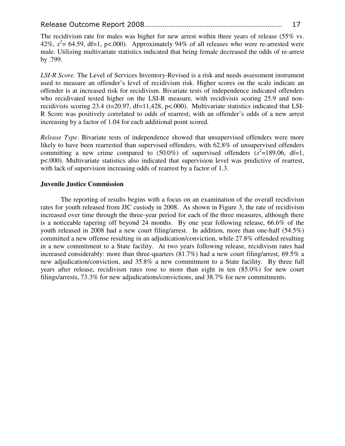The recidivism rate for males was higher for new arrest within three years of release (55% vs. 42%,  $x^2$  = 64.59, df=1, p<.000). Approximately 94% of all releases who were re-arrested were male. Utilizing multivariate statistics indicated that being female decreased the odds of re-arrest by .799.

*LSI-R Score.* The Level of Services Inventory-Revised is a risk and needs assessment instrument used to measure an offender's level of recidivism risk. Higher scores on the scale indicate an offender is at increased risk for recidivism. Bivariate tests of independence indicated offenders who recidivated tested higher on the LSI-R measure, with recidivists scoring 25.9 and nonrecidivists scoring 23.4 (t=20.97, df=11,428, p<.000). Multivariate statistics indicated that LSI-R Score was positively correlated to odds of rearrest; with an offender's odds of a new arrest increasing by a factor of 1.04 for each additional point scored.

*Release Type*. Bivariate tests of independence showed that unsupervised offenders were more likely to have been rearrested than supervised offenders, with 62.8% of unsupervised offenders committing a new crime compared to  $(50.0\%)$  of supervised offenders  $(x^2=189.06, df=1,$ p<.000). Multivariate statistics also indicated that supervision level was predictive of rearrest, with lack of supervision increasing odds of rearrest by a factor of 1.3.

#### **Juvenile Justice Commission**

The reporting of results begins with a focus on an examination of the overall recidivism rates for youth released from JJC custody in 2008. As shown in Figure 3, the rate of recidivism increased over time through the three-year period for each of the three measures, although there is a noticeable tapering off beyond 24 months. By one year following release, 66.6% of the youth released in 2008 had a new court filing/arrest. In addition, more than one-half (54.5%) committed a new offense resulting in an adjudication/conviction, while 27.8% offended resulting in a new commitment to a State facility. At two years following release, recidivism rates had increased considerably: more than three-quarters (81.7%) had a new court filing/arrest, 69.5% a new adjudication/conviction, and 35.8% a new commitment to a State facility. By three full years after release, recidivism rates rose to more than eight in ten (85.0%) for new court filings/arrests, 73.3% for new adjudications/convictions, and 38.7% for new commitments.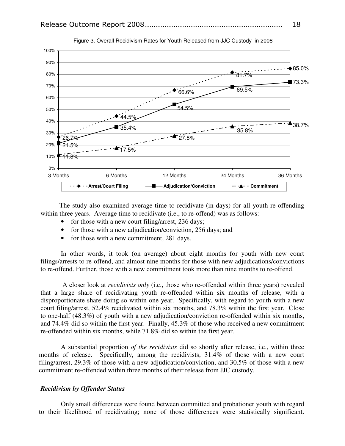

Figure 3. Overall Recidivism Rates for Youth Released from JJC Custody in 2008

 The study also examined average time to recidivate (in days) for all youth re-offending within three years. Average time to recidivate (i.e., to re-offend) was as follows:

- for those with a new court filing/arrest, 236 days;
- for those with a new adjudication/conviction, 256 days; and
- for those with a new commitment, 281 days.

In other words, it took (on average) about eight months for youth with new court filings/arrests to re-offend, and almost nine months for those with new adjudications/convictions to re-offend. Further, those with a new commitment took more than nine months to re-offend.

 A closer look at *recidivists only* (i.e., those who re-offended within three years) revealed that a large share of recidivating youth re-offended within six months of release, with a disproportionate share doing so within one year. Specifically, with regard to youth with a new court filing/arrest, 52.4% recidivated within six months, and 78.3% within the first year. Close to one-half (48.3%) of youth with a new adjudication/conviction re-offended within six months, and 74.4% did so within the first year. Finally, 45.3% of those who received a new commitment re-offended within six months, while 71.8% did so within the first year.

 A substantial proportion *of the recidivists* did so shortly after release, i.e., within three months of release. Specifically, among the recidivists, 31.4% of those with a new court filing/arrest, 29.3% of those with a new adjudication/conviction, and 30.5% of those with a new commitment re-offended within three months of their release from JJC custody.

#### *Recidivism by Offender Status*

Only small differences were found between committed and probationer youth with regard to their likelihood of recidivating; none of those differences were statistically significant.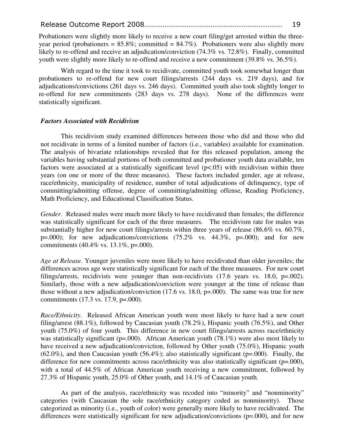Probationers were slightly more likely to receive a new court filing/get arrested within the threeyear period (probationers =  $85.8\%$ ; committed =  $84.7\%$ ). Probationers were also slightly more likely to re-offend and receive an adjudication/conviction (74.3% vs. 72.8%). Finally, committed youth were slightly more likely to re-offend and receive a new commitment (39.8% vs. 36.5%).

With regard to the time it took to recidivate, committed youth took somewhat longer than probationers to re-offend for new court filings/arrests (244 days vs. 219 days), and for adjudications/convictions (261 days vs. 246 days). Committed youth also took slightly longer to re-offend for new commitments (283 days vs. 278 days). None of the differences were statistically significant.

#### *Factors Associated with Recidivism*

This recidivism study examined differences between those who did and those who did not recidivate in terms of a limited number of factors (i.e., variables) available for examination. The analysis of bivariate relationships revealed that for this released population, among the variables having substantial portions of both committed and probationer youth data available, ten factors were associated at a statistically significant level ( $p<.05$ ) with recidivism within three years (on one or more of the three measures). These factors included gender, age at release, race/ethnicity, municipality of residence, number of total adjudications of delinquency, type of committing/admitting offense, degree of committing/admitting offense, Reading Proficiency, Math Proficiency, and Educational Classification Status.

*Gender*. Released males were much more likely to have recidivated than females; the difference was statistically significant for each of the three measures. The recidivism rate for males was substantially higher for new court filings/arrests within three years of release (86.6% vs. 60.7%, p=.000); for new adjudications/convictions  $(75.2\%$  vs.  $44.3\%$ , p=.000); and for new commitments  $(40.4\% \text{ vs. } 13.1\%, \text{ p} = .000)$ .

*Age at Release*. Younger juveniles were more likely to have recidivated than older juveniles; the differences across age were statistically significant for each of the three measures. For new court filings/arrests, recidivists were younger than non-recidivists (17.6 years vs. 18.0, p=.002). Similarly, those with a new adjudication/conviction were younger at the time of release than those without a new adjudication/conviction (17.6 vs. 18.0, p=.000). The same was true for new commitments (17.3 vs. 17.9, p=.000).

*Race/Ethnicity*. Released African American youth were most likely to have had a new court filing/arrest (88.1%), followed by Caucasian youth (78.2%), Hispanic youth (76.5%), and Other youth (75.0%) of four youth. This difference in new court filings/arrests across race/ethnicity was statistically significant (p=.000). African American youth (78.1%) were also most likely to have received a new adjudication/conviction, followed by Other youth (75.0%), Hispanic youth  $(62.0\%)$ , and then Caucasian youth  $(56.4\%)$ ; also statistically significant (p=.000). Finally, the difference for new commitments across race/ethnicity was also statistically significant (p=.000), with a total of 44.5% of African American youth receiving a new commitment, followed by 27.3% of Hispanic youth, 25.0% of Other youth, and 14.1% of Caucasian youth.

As part of the analysis, race/ethnicity was recoded into "minority" and "nonminority" categories (with Caucasian the sole race/ethnicity category coded as nonminority). Those categorized as minority (i.e., youth of color) were generally more likely to have recidivated. The differences were statistically significant for new adjudication/convictions (p=.000), and for new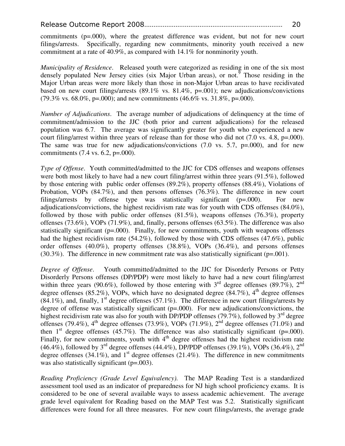commitments (p=.000), where the greatest difference was evident, but not for new court filings/arrests. Specifically, regarding new commitments, minority youth received a new commitment at a rate of 40.9%, as compared with 14.1% for nonminority youth.

*Municipality of Residence*. Released youth were categorized as residing in one of the six most densely populated New Jersey cities (six Major Urban areas), or not.<sup> $\overline{9}$ </sup> Those residing in the Major Urban areas were more likely than those in non-Major Urban areas to have recidivated based on new court filings/arrests (89.1% vs. 81.4%, p=.001); new adjudications/convictions  $(79.3\% \text{ vs. } 68.0\%, \text{ p} = .000)$ ; and new commitments  $(46.6\% \text{ vs. } 31.8\%, \text{ p} = .000)$ .

*Number of Adjudications*. The average number of adjudications of delinquency at the time of commitment/admission to the JJC (both prior and current adjudications) for the released population was 6.7. The average was significantly greater for youth who experienced a new court filing/arrest within three years of release than for those who did not  $(7.0 \text{ vs. } 4.8, \text{ p} = .000)$ . The same was true for new adjudications/convictions  $(7.0 \text{ vs. } 5.7, \text{ p} = .000)$ , and for new commitments (7.4 vs. 6.2, p=.000).

*Type of Offense*. Youth committed/admitted to the JJC for CDS offenses and weapons offenses were both most likely to have had a new court filing/arrest within three years (91.5%), followed by those entering with public order offenses (89.2%), property offenses (88.4%), Violations of Probation, VOPs (84.7%), and then persons offenses (76.3%). The difference in new court filings/arrests by offense type was statistically significant (p=.000). For new adjudications/convictions, the highest recidivism rate was for youth with CDS offenses (84.0%), followed by those with public order offenses (81.5%), weapons offenses (76.3%), property offenses (73.6%), VOPs (71.9%), and, finally, persons offenses (63.5%). The difference was also statistically significant  $(p=000)$ . Finally, for new commitments, youth with weapons offenses had the highest recidivism rate (54.2%), followed by those with CDS offenses (47.6%), public order offenses (40.0%), property offenses (38.8%), VOPs (36.4%), and persons offenses  $(30.3\%)$ . The difference in new commitment rate was also statistically significant ( $p=0.001$ ).

*Degree of Offense*. Youth committed/admitted to the JJC for Disorderly Persons or Petty Disorderly Persons offenses (DP/PDP) were most likely to have had a new court filing/arrest within three years (90.6%), followed by those entering with  $3<sup>rd</sup>$  degree offenses (89.7%),  $2<sup>nd</sup>$ degree offenses (85.2%), VOPs, which have no designated degree (84.7%),  $4<sup>th</sup>$  degree offenses  $(84.1\%)$ , and, finally, 1<sup>st</sup> degree offenses (57.1%). The difference in new court filings/arrests by degree of offense was statistically significant  $(p=0.00)$ . For new adjudications/convictions, the highest recidivism rate was also for youth with DP/PDP offenses (79.7%), followed by  $3<sup>rd</sup>$  degree offenses (79.4%),  $4^{\text{th}}$  degree offenses (73.9%), VOPs (71.9%),  $2^{\text{nd}}$  degree offenses (71.0%) and then  $1<sup>st</sup>$  degree offenses (45.7%). The difference was also statistically significant (p=.000). Finally, for new commitments, youth with  $4<sup>th</sup>$  degree offenses had the highest recidivism rate (46.4%), followed by  $3^{rd}$  degree offenses (44.4%), DP/PDP offenses (39.1%), VOPs (36.4%), 2<sup>nd</sup> degree offenses (34.1%), and  $1<sup>st</sup>$  degree offenses (21.4%). The difference in new commitments was also statistically significant (p=.003).

*Reading Proficiency (Grade Level Equivalency).* The MAP Reading Test is a standardized assessment tool used as an indicator of preparedness for NJ high school proficiency exams. It is considered to be one of several available ways to assess academic achievement. The average grade level equivalent for Reading based on the MAP Test was 5.2. Statistically significant differences were found for all three measures. For new court filings/arrests, the average grade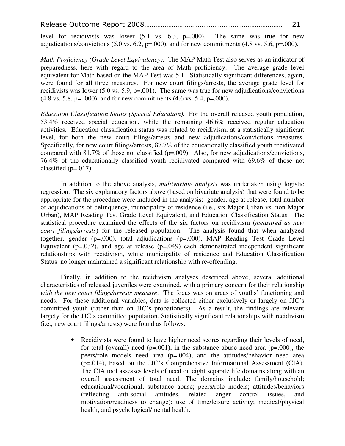level for recidivists was lower (5.1 vs. 6.3, p=.000). The same was true for new adjudications/convictions  $(5.0 \text{ vs. } 6.2, \text{ p} = .000)$ , and for new commitments  $(4.8 \text{ vs. } 5.6, \text{ p} = .000)$ .

*Math Proficiency (Grade Level Equivalency).* The MAP Math Test also serves as an indicator of preparedness, here with regard to the area of Math proficiency. The average grade level equivalent for Math based on the MAP Test was 5.1. Statistically significant differences, again, were found for all three measures. For new court filings/arrests, the average grade level for recidivists was lower  $(5.0 \text{ vs. } 5.9, \text{ p} = 0.001)$ . The same was true for new adjudications/convictions  $(4.8 \text{ vs. } 5.8, \text{ p} = .000)$ , and for new commitments  $(4.6 \text{ vs. } 5.4, \text{ p} = .000)$ .

*Education Classification Status (Special Education).* For the overall released youth population, 53.4% received special education, while the remaining 46.6% received regular education activities. Education classification status was related to recidivism, at a statistically significant level, for both the new court filings/arrests and new adjudications/convictions measures. Specifically, for new court filings/arrests, 87.7% of the educationally classified youth recidivated compared with 81.7% of those not classified (p=.009). Also, for new adjudications/convictions, 76.4% of the educationally classified youth recidivated compared with 69.6% of those not classified  $(p=.017)$ .

In addition to the above analysis, *multivariate analysis* was undertaken using logistic regression. The six explanatory factors above (based on bivariate analysis) that were found to be appropriate for the procedure were included in the analysis: gender, age at release, total number of adjudications of delinquency, municipality of residence (i.e., six Major Urban vs. non-Major Urban), MAP Reading Test Grade Level Equivalent, and Education Classification Status. The statistical procedure examined the effects of the six factors on recidivism (*measured as new court filings/arrests*) for the released population. The analysis found that when analyzed together, gender (p=.000), total adjudications (p=.000), MAP Reading Test Grade Level Equivalent ( $p=.032$ ), and age at release ( $p=.049$ ) each demonstrated independent significant relationships with recidivism, while municipality of residence and Education Classification Status no longer maintained a significant relationship with re-offending.

Finally, in addition to the recidivism analyses described above, several additional characteristics of released juveniles were examined, with a primary concern for their relationship *with the new court filings/arrests measure*. The focus was on areas of youths' functioning and needs. For these additional variables, data is collected either exclusively or largely on JJC's committed youth (rather than on JJC's probationers). As a result, the findings are relevant largely for the JJC's committed population. Statistically significant relationships with recidivism (i.e., new court filings/arrests) were found as follows:

> • Recidivists were found to have higher need scores regarding their levels of need, for total (overall) need ( $p=.001$ ), in the substance abuse need area ( $p=.000$ ), the peers/role models need area (p=.004), and the attitudes/behavior need area (p=.014), based on the JJC's Comprehensive Informational Assessment (CIA). The CIA tool assesses levels of need on eight separate life domains along with an overall assessment of total need. The domains include: family/household; educational/vocational; substance abuse; peers/role models; attitudes/behaviors (reflecting anti-social attitudes, related anger control issues, and motivation/readiness to change); use of time/leisure activity; medical/physical health; and psychological/mental health.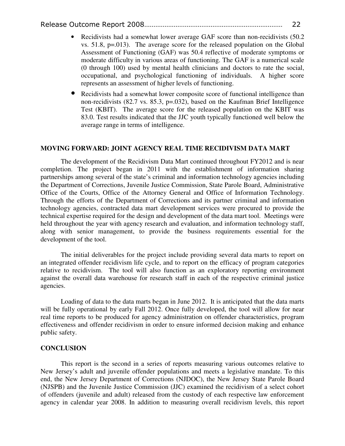- Recidivists had a somewhat lower average GAF score than non-recidivists (50.2) vs. 51.8, p=.013). The average score for the released population on the Global Assessment of Functioning (GAF) was 50.4 reflective of moderate symptoms or moderate difficulty in various areas of functioning. The GAF is a numerical scale (0 through 100) used by mental health clinicians and doctors to rate the social, occupational, and psychological functioning of individuals. A higher score represents an assessment of higher levels of functioning.
- Recidivists had a somewhat lower composite score of functional intelligence than non-recidivists (82.7 vs. 85.3, p=.032), based on the Kaufman Brief Intelligence Test (KBIT). The average score for the released population on the KBIT was 83.0. Test results indicated that the JJC youth typically functioned well below the average range in terms of intelligence.

#### **MOVING FORWARD: JOINT AGENCY REAL TIME RECIDIVISM DATA MART**

The development of the Recidivism Data Mart continued throughout FY2012 and is near completion. The project began in 2011 with the establishment of information sharing partnerships among several of the state's criminal and information technology agencies including the Department of Corrections, Juvenile Justice Commission, State Parole Board, Administrative Office of the Courts, Office of the Attorney General and Office of Information Technology. Through the efforts of the Department of Corrections and its partner criminal and information technology agencies, contracted data mart development services were procured to provide the technical expertise required for the design and development of the data mart tool. Meetings were held throughout the year with agency research and evaluation, and information technology staff, along with senior management, to provide the business requirements essential for the development of the tool.

The initial deliverables for the project include providing several data marts to report on an integrated offender recidivism life cycle, and to report on the efficacy of program categories relative to recidivism. The tool will also function as an exploratory reporting environment against the overall data warehouse for research staff in each of the respective criminal justice agencies.

Loading of data to the data marts began in June 2012. It is anticipated that the data marts will be fully operational by early Fall 2012. Once fully developed, the tool will allow for near real time reports to be produced for agency administration on offender characteristics, program effectiveness and offender recidivism in order to ensure informed decision making and enhance public safety.

#### **CONCLUSION**

This report is the second in a series of reports measuring various outcomes relative to New Jersey's adult and juvenile offender populations and meets a legislative mandate. To this end, the New Jersey Department of Corrections (NJDOC), the New Jersey State Parole Board (NJSPB) and the Juvenile Justice Commission (JJC) examined the recidivism of a select cohort of offenders (juvenile and adult) released from the custody of each respective law enforcement agency in calendar year 2008. In addition to measuring overall recidivism levels, this report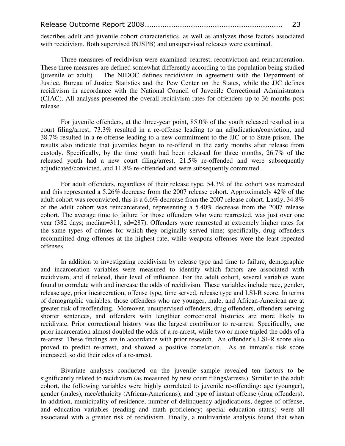describes adult and juvenile cohort characteristics, as well as analyzes those factors associated with recidivism. Both supervised (NJSPB) and unsupervised releases were examined.

Three measures of recidivism were examined: rearrest, reconviction and reincarceration. These three measures are defined somewhat differently according to the population being studied (juvenile or adult). The NJDOC defines recidivism in agreement with the Department of Justice, Bureau of Justice Statistics and the Pew Center on the States, while the JJC defines recidivism in accordance with the National Council of Juvenile Correctional Administrators (CJAC). All analyses presented the overall recidivism rates for offenders up to 36 months post release.

For juvenile offenders, at the three-year point, 85.0% of the youth released resulted in a court filing/arrest, 73.3% resulted in a re-offense leading to an adjudication/conviction, and 38.7% resulted in a re-offense leading to a new commitment to the JJC or to State prison. The results also indicate that juveniles began to re-offend in the early months after release from custody. Specifically, by the time youth had been released for three months, 26.7% of the released youth had a new court filing/arrest, 21.5% re-offended and were subsequently adjudicated/convicted, and 11.8% re-offended and were subsequently committed.

For adult offenders, regardless of their release type, 54.3% of the cohort was rearrested and this represented a 5.26% decrease from the 2007 release cohort. Approximately 42% of the adult cohort was reconvicted, this is a 6.6% decrease from the 2007 release cohort. Lastly, 34.8% of the adult cohort was reincarcerated, representing a 5.40% decrease from the 2007 release cohort. The average time to failure for those offenders who were rearrested, was just over one year (382 days; median=311, sd=287). Offenders were rearrested at extremely higher rates for the same types of crimes for which they originally served time; specifically, drug offenders recommitted drug offenses at the highest rate, while weapons offenses were the least repeated offenses.

In addition to investigating recidivism by release type and time to failure, demographic and incarceration variables were measured to identify which factors are associated with recidivism, and if related, their level of influence. For the adult cohort, several variables were found to correlate with and increase the odds of recidivism. These variables include race, gender, release age, prior incarceration, offense type, time served, release type and LSI-R score. In terms of demographic variables, those offenders who are younger, male, and African-American are at greater risk of reoffending. Moreover, unsupervised offenders, drug offenders, offenders serving shorter sentences, and offenders with lengthier correctional histories are more likely to recidivate. Prior correctional history was the largest contributor to re-arrest. Specifically, one prior incarceration almost doubled the odds of a re-arrest, while two or more tripled the odds of a re-arrest. These findings are in accordance with prior research. An offender's LSI-R score also proved to predict re-arrest, and showed a positive correlation. As an inmate's risk score increased, so did their odds of a re-arrest.

Bivariate analyses conducted on the juvenile sample revealed ten factors to be significantly related to recidivism (as measured by new court filings/arrests). Similar to the adult cohort, the following variables were highly correlated to juvenile re-offending: age (younger), gender (males), race/ethnicity (African-Americans), and type of instant offense (drug offenders). In addition, municipality of residence, number of delinquency adjudications, degree of offense, and education variables (reading and math proficiency; special education status) were all associated with a greater risk of recidivism. Finally, a multivariate analysis found that when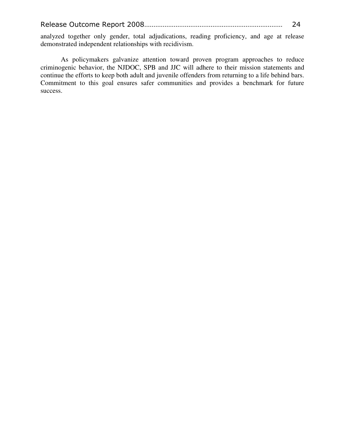|--|--|

analyzed together only gender, total adjudications, reading proficiency, and age at release demonstrated independent relationships with recidivism.

As policymakers galvanize attention toward proven program approaches to reduce criminogenic behavior, the NJDOC, SPB and JJC will adhere to their mission statements and continue the efforts to keep both adult and juvenile offenders from returning to a life behind bars. Commitment to this goal ensures safer communities and provides a benchmark for future success.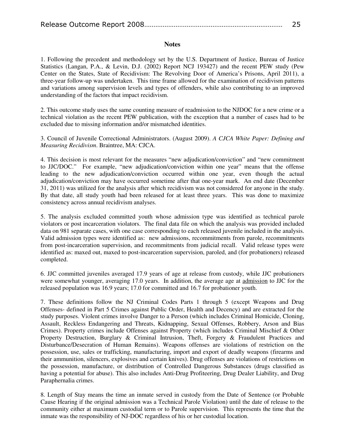|--|--|

#### **Notes**

1. Following the precedent and methodology set by the U.S. Department of Justice, Bureau of Justice Statistics (Langan, P.A., & Levin, D.J. (2002) Report NCJ 193427) and the recent PEW study (Pew Center on the States, State of Recidivism: The Revolving Door of America's Prisons, April 2011), a three-year follow-up was undertaken. This time frame allowed for the examination of recidivism patterns and variations among supervision levels and types of offenders, while also contributing to an improved understanding of the factors that impact recidivism.

2. This outcome study uses the same counting measure of readmission to the NJDOC for a new crime or a technical violation as the recent PEW publication, with the exception that a number of cases had to be excluded due to missing information and/or mismatched identities.

3. Council of Juvenile Correctional Administrators. (August 2009). *A CJCA White Paper: Defining and Measuring Recidivism*. Braintree, MA: CJCA.

4. This decision is most relevant for the measures "new adjudication/conviction" and "new commitment to JJC/DOC." For example, "new adjudication/conviction within one year" means that the offense leading to the new adjudication/conviction occurred within one year, even though the actual adjudication/conviction may have occurred sometime after that one-year mark. An end date (December 31, 2011) was utilized for the analysis after which recidivism was not considered for anyone in the study. By that date, all study youth had been released for at least three years. This was done to maximize consistency across annual recidivism analyses.

5. The analysis excluded committed youth whose admission type was identified as technical parole violators or post incarceration violators. The final data file on which the analysis was provided included data on 981 separate cases, with one case corresponding to each released juvenile included in the analysis. Valid admission types were identified as: new admissions, recommitments from parole, recommitments from post-incarceration supervision, and recommitments from judicial recall. Valid release types were identified as: maxed out, maxed to post-incarceration supervision, paroled, and (for probationers) released completed.

6. JJC committed juveniles averaged 17.9 years of age at release from custody, while JJC probationers were somewhat younger, averaging 17.0 years. In addition, the average age at admission to JJC for the released population was 16.9 years; 17.0 for committed and 16.7 for probationer youth.

7. These definitions follow the NJ Criminal Codes Parts 1 through 5 (except Weapons and Drug Offenses- defined in Part 5 Crimes against Public Order, Health and Decency) and are extracted for the study purposes. Violent crimes involve Danger to a Person (which includes Criminal Homicide, Cloning, Assault, Reckless Endangering and Threats, Kidnapping, Sexual Offenses, Robbery, Arson and Bias Crimes). Property crimes include Offenses against Property (which includes Criminal Mischief & Other Property Destruction, Burglary & Criminal Intrusion, Theft, Forgery & Fraudulent Practices and Disturbance/Desecration of Human Remains). Weapons offenses are violations of restriction on the possession, use, sales or trafficking, manufacturing, import and export of deadly weapons (firearms and their ammunition, silencers, explosives and certain knives). Drug offenses are violations of restrictions on the possession, manufacture, or distribution of Controlled Dangerous Substances (drugs classified as having a potential for abuse). This also includes Anti-Drug Profiteering, Drug Dealer Liability, and Drug Paraphernalia crimes.

8. Length of Stay means the time an inmate served in custody from the Date of Sentence (or Probable Cause Hearing if the original admission was a Technical Parole Violation) until the date of release to the community either at maximum custodial term or to Parole supervision. This represents the time that the inmate was the responsibility of NJ-DOC regardless of his or her custodial location.